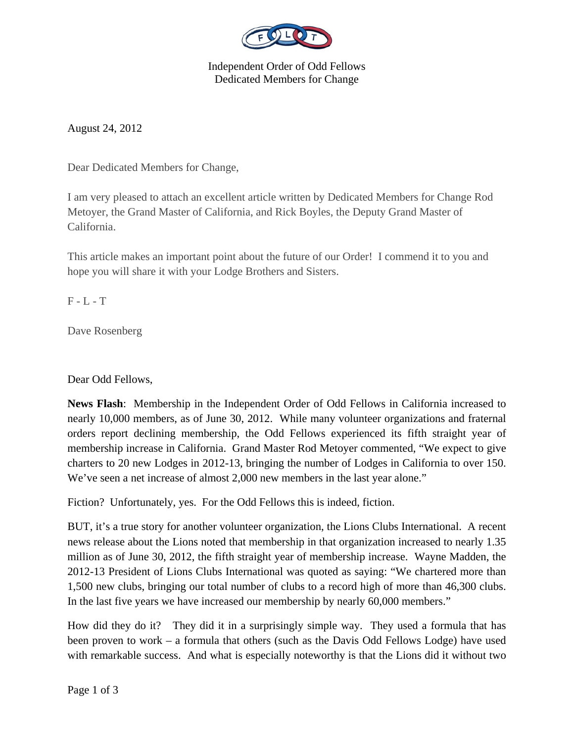

Independent Order of Odd Fellows Dedicated Members for Change

August 24, 2012

Dear Dedicated Members for Change,

I am very pleased to attach an excellent article written by Dedicated Members for Change Rod Metoyer, the Grand Master of California, and Rick Boyles, the Deputy Grand Master of California.

This article makes an important point about the future of our Order! I commend it to you and hope you will share it with your Lodge Brothers and Sisters.

 $F - L - T$ 

Dave Rosenberg

Dear Odd Fellows,

**News Flash**: Membership in the Independent Order of Odd Fellows in California increased to nearly 10,000 members, as of June 30, 2012. While many volunteer organizations and fraternal orders report declining membership, the Odd Fellows experienced its fifth straight year of membership increase in California. Grand Master Rod Metoyer commented, "We expect to give charters to 20 new Lodges in 2012-13, bringing the number of Lodges in California to over 150. We've seen a net increase of almost 2,000 new members in the last year alone."

Fiction? Unfortunately, yes. For the Odd Fellows this is indeed, fiction.

BUT, it's a true story for another volunteer organization, the Lions Clubs International. A recent news release about the Lions noted that membership in that organization increased to nearly 1.35 million as of June 30, 2012, the fifth straight year of membership increase. Wayne Madden, the 2012-13 President of Lions Clubs International was quoted as saying: "We chartered more than 1,500 new clubs, bringing our total number of clubs to a record high of more than 46,300 clubs. In the last five years we have increased our membership by nearly 60,000 members."

How did they do it? They did it in a surprisingly simple way. They used a formula that has been proven to work – a formula that others (such as the Davis Odd Fellows Lodge) have used with remarkable success. And what is especially noteworthy is that the Lions did it without two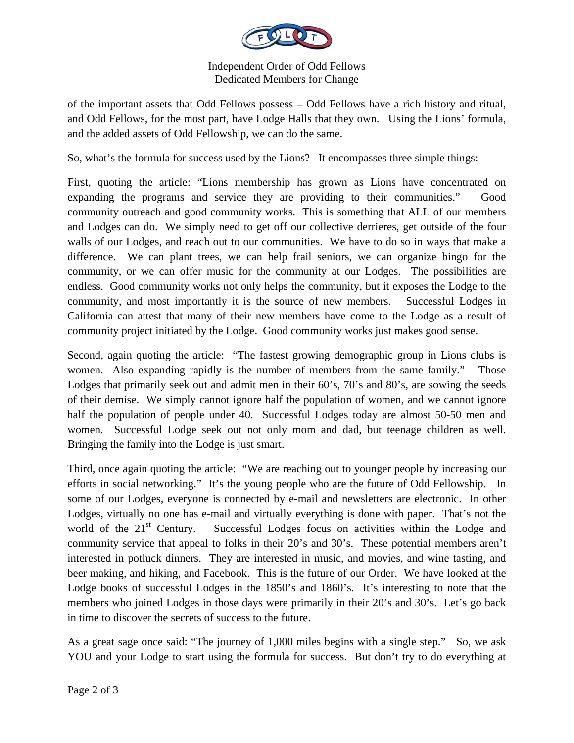

## Independent Order of Odd Fellows Dedicated Members for Change

of the important assets that Odd Fellows possess – Odd Fellows have a rich history and ritual, and Odd Fellows, for the most part, have Lodge Halls that they own. Using the Lions' formula, and the added assets of Odd Fellowship, we can do the same.

So, what's the formula for success used by the Lions? It encompasses three simple things:

First, quoting the article: "Lions membership has grown as Lions have concentrated on expanding the programs and service they are providing to their communities." Good community outreach and good community works. This is something that ALL of our members and Lodges can do. We simply need to get off our collective derrieres, get outside of the four walls of our Lodges, and reach out to our communities. We have to do so in ways that make a difference. We can plant trees, we can help frail seniors, we can organize bingo for the community, or we can offer music for the community at our Lodges. The possibilities are endless. Good community works not only helps the community, but it exposes the Lodge to the community, and most importantly it is the source of new members. Successful Lodges in California can attest that many of their new members have come to the Lodge as a result of community project initiated by the Lodge. Good community works just makes good sense.

Second, again quoting the article: "The fastest growing demographic group in Lions clubs is women. Also expanding rapidly is the number of members from the same family." Those Lodges that primarily seek out and admit men in their 60's, 70's and 80's, are sowing the seeds of their demise. We simply cannot ignore half the population of women, and we cannot ignore half the population of people under 40. Successful Lodges today are almost 50-50 men and women. Successful Lodge seek out not only mom and dad, but teenage children as well. Bringing the family into the Lodge is just smart.

Third, once again quoting the article: "We are reaching out to younger people by increasing our efforts in social networking." It's the young people who are the future of Odd Fellowship. In some of our Lodges, everyone is connected by e-mail and newsletters are electronic. In other Lodges, virtually no one has e-mail and virtually everything is done with paper. That's not the world of the 21<sup>st</sup> Century. Successful Lodges focus on activities within the Lodge and community service that appeal to folks in their 20's and 30's. These potential members aren't interested in potluck dinners. They are interested in music, and movies, and wine tasting, and beer making, and hiking, and Facebook. This is the future of our Order. We have looked at the Lodge books of successful Lodges in the 1850's and 1860's. It's interesting to note that the members who joined Lodges in those days were primarily in their 20's and 30's. Let's go back in time to discover the secrets of success to the future.

As a great sage once said: "The journey of 1,000 miles begins with a single step." So, we ask YOU and your Lodge to start using the formula for success. But don't try to do everything at